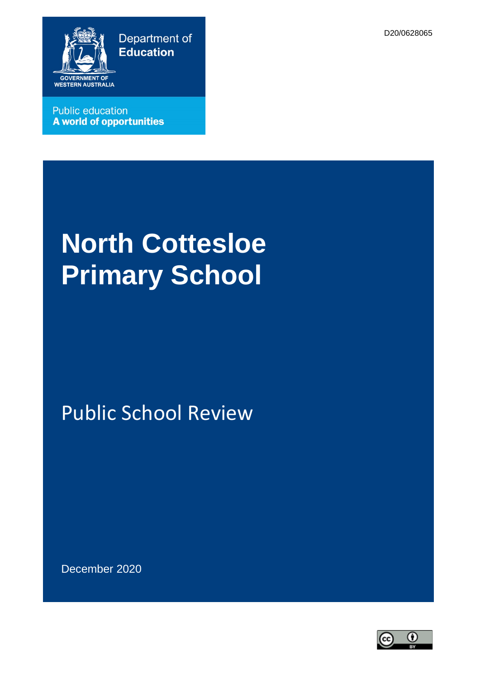D20/0628065



**Public education A world of opportunities** 

# **North Cottesloe Primary School**

# Public School Review

December 2020

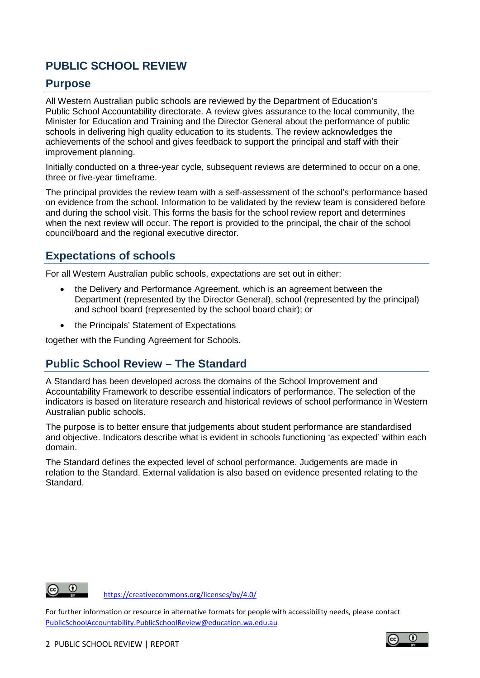# **PUBLIC SCHOOL REVIEW**

#### **Purpose**

All Western Australian public schools are reviewed by the Department of Education's Public School Accountability directorate. A review gives assurance to the local community, the Minister for Education and Training and the Director General about the performance of public schools in delivering high quality education to its students. The review acknowledges the achievements of the school and gives feedback to support the principal and staff with their improvement planning.

Initially conducted on a three-year cycle, subsequent reviews are determined to occur on a one, three or five-year timeframe.

The principal provides the review team with a self-assessment of the school's performance based on evidence from the school. Information to be validated by the review team is considered before and during the school visit. This forms the basis for the school review report and determines when the next review will occur. The report is provided to the principal, the chair of the school council/board and the regional executive director.

# **Expectations of schools**

For all Western Australian public schools, expectations are set out in either:

- the Delivery and Performance Agreement, which is an agreement between the Department (represented by the Director General), school (represented by the principal) and school board (represented by the school board chair); or
- the Principals' Statement of Expectations

together with the Funding Agreement for Schools.

# **Public School Review – The Standard**

A Standard has been developed across the domains of the School Improvement and Accountability Framework to describe essential indicators of performance. The selection of the indicators is based on literature research and historical reviews of school performance in Western Australian public schools.

The purpose is to better ensure that judgements about student performance are standardised and objective. Indicators describe what is evident in schools functioning 'as expected' within each domain.

The Standard defines the expected level of school performance. Judgements are made in relation to the Standard. External validation is also based on evidence presented relating to the Standard.



<https://creativecommons.org/licenses/by/4.0/>

For further information or resource in alternative formats for people with accessibility needs, please contact [PublicSchoolAccountability.PublicSchoolReview@education.wa.edu.au](mailto:PublicSchoolAccountability.PublicSchoolReview@education.wa.edu.au)

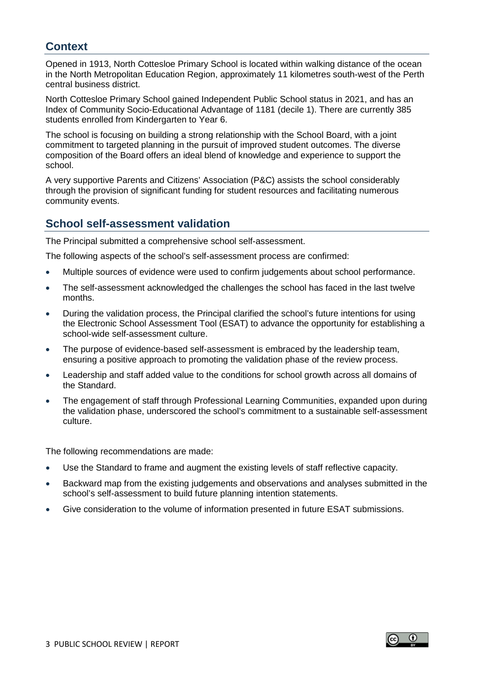# **Context**

Opened in 1913, North Cottesloe Primary School is located within walking distance of the ocean in the North Metropolitan Education Region, approximately 11 kilometres south-west of the Perth central business district.

North Cottesloe Primary School gained Independent Public School status in 2021, and has an Index of Community Socio-Educational Advantage of 1181 (decile 1). There are currently 385 students enrolled from Kindergarten to Year 6.

The school is focusing on building a strong relationship with the School Board, with a joint commitment to targeted planning in the pursuit of improved student outcomes. The diverse composition of the Board offers an ideal blend of knowledge and experience to support the school.

A very supportive Parents and Citizens' Association (P&C) assists the school considerably through the provision of significant funding for student resources and facilitating numerous community events.

#### **School self-assessment validation**

The Principal submitted a comprehensive school self-assessment.

The following aspects of the school's self-assessment process are confirmed:

- Multiple sources of evidence were used to confirm judgements about school performance.
- The self-assessment acknowledged the challenges the school has faced in the last twelve months.
- During the validation process, the Principal clarified the school's future intentions for using the Electronic School Assessment Tool (ESAT) to advance the opportunity for establishing a school-wide self-assessment culture.
- The purpose of evidence-based self-assessment is embraced by the leadership team, ensuring a positive approach to promoting the validation phase of the review process.
- Leadership and staff added value to the conditions for school growth across all domains of the Standard.
- The engagement of staff through Professional Learning Communities, expanded upon during the validation phase, underscored the school's commitment to a sustainable self-assessment culture.

The following recommendations are made:

- Use the Standard to frame and augment the existing levels of staff reflective capacity.
- Backward map from the existing judgements and observations and analyses submitted in the school's self-assessment to build future planning intention statements.
- Give consideration to the volume of information presented in future ESAT submissions.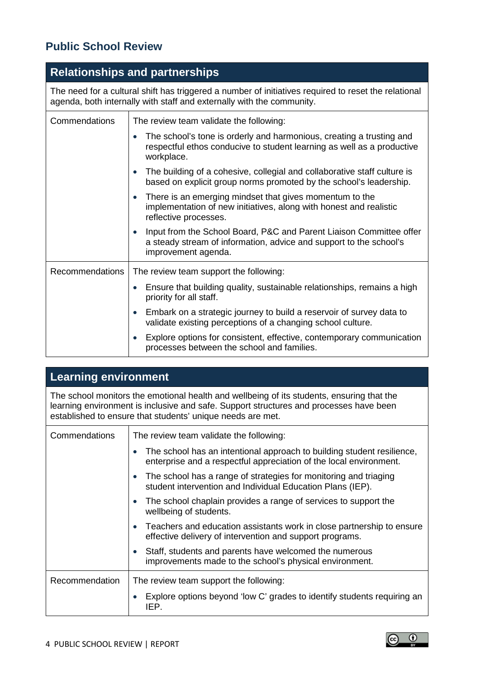# **Public School Review**

# **Relationships and partnerships**

The need for a cultural shift has triggered a number of initiatives required to reset the relational agenda, both internally with staff and externally with the community.

| Commendations          | The review team validate the following:                                                                                                                                       |
|------------------------|-------------------------------------------------------------------------------------------------------------------------------------------------------------------------------|
|                        | The school's tone is orderly and harmonious, creating a trusting and<br>$\bullet$<br>respectful ethos conducive to student learning as well as a productive<br>workplace.     |
|                        | The building of a cohesive, collegial and collaborative staff culture is<br>$\bullet$<br>based on explicit group norms promoted by the school's leadership.                   |
|                        | There is an emerging mindset that gives momentum to the<br>$\bullet$<br>implementation of new initiatives, along with honest and realistic<br>reflective processes.           |
|                        | Input from the School Board, P&C and Parent Liaison Committee offer<br>$\bullet$<br>a steady stream of information, advice and support to the school's<br>improvement agenda. |
| <b>Recommendations</b> | The review team support the following:                                                                                                                                        |
|                        | Ensure that building quality, sustainable relationships, remains a high<br>priority for all staff.                                                                            |
|                        | Embark on a strategic journey to build a reservoir of survey data to<br>$\bullet$<br>validate existing perceptions of a changing school culture.                              |
|                        | Explore options for consistent, effective, contemporary communication<br>processes between the school and families.                                                           |

# **Learning environment**

The school monitors the emotional health and wellbeing of its students, ensuring that the learning environment is inclusive and safe. Support structures and processes have been established to ensure that students' unique needs are met.

| Commendations  | The review team validate the following:                                                                                                      |
|----------------|----------------------------------------------------------------------------------------------------------------------------------------------|
|                | The school has an intentional approach to building student resilience,<br>enterprise and a respectful appreciation of the local environment. |
|                | The school has a range of strategies for monitoring and triaging<br>student intervention and Individual Education Plans (IEP).               |
|                | The school chaplain provides a range of services to support the<br>wellbeing of students.                                                    |
|                | Teachers and education assistants work in close partnership to ensure<br>effective delivery of intervention and support programs.            |
|                | Staff, students and parents have welcomed the numerous<br>$\bullet$<br>improvements made to the school's physical environment.               |
| Recommendation | The review team support the following:                                                                                                       |
|                | Explore options beyond 'low C' grades to identify students requiring an<br>IEP.                                                              |

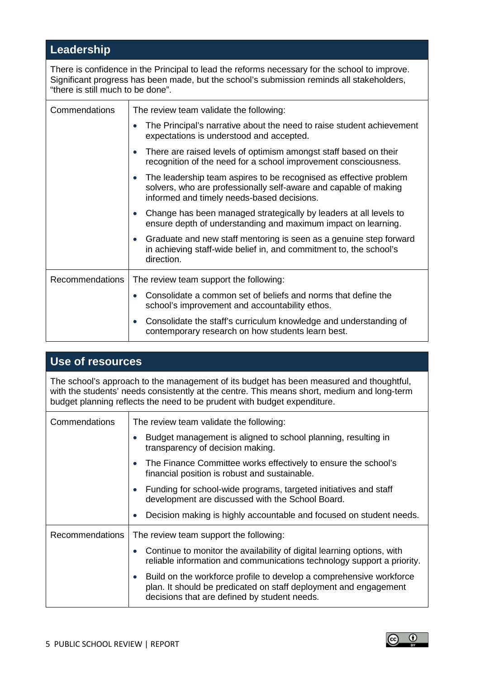# **Leadership**

There is confidence in the Principal to lead the reforms necessary for the school to improve. Significant progress has been made, but the school's submission reminds all stakeholders, "there is still much to be done".

| Commendations          | The review team validate the following:                                                                                                                                             |
|------------------------|-------------------------------------------------------------------------------------------------------------------------------------------------------------------------------------|
|                        | The Principal's narrative about the need to raise student achievement<br>expectations is understood and accepted.                                                                   |
|                        | There are raised levels of optimism amongst staff based on their<br>recognition of the need for a school improvement consciousness.                                                 |
|                        | The leadership team aspires to be recognised as effective problem<br>solvers, who are professionally self-aware and capable of making<br>informed and timely needs-based decisions. |
|                        | Change has been managed strategically by leaders at all levels to<br>ensure depth of understanding and maximum impact on learning.                                                  |
|                        | Graduate and new staff mentoring is seen as a genuine step forward<br>$\bullet$<br>in achieving staff-wide belief in, and commitment to, the school's<br>direction.                 |
| <b>Recommendations</b> | The review team support the following:                                                                                                                                              |
|                        | Consolidate a common set of beliefs and norms that define the<br>school's improvement and accountability ethos.                                                                     |
|                        | Consolidate the staff's curriculum knowledge and understanding of<br>contemporary research on how students learn best.                                                              |

# **Use of resources**

The school's approach to the management of its budget has been measured and thoughtful, with the students' needs consistently at the centre. This means short, medium and long-term budget planning reflects the need to be prudent with budget expenditure.

| Commendations          | The review team validate the following:                                                                                                                                                              |
|------------------------|------------------------------------------------------------------------------------------------------------------------------------------------------------------------------------------------------|
|                        | Budget management is aligned to school planning, resulting in<br>transparency of decision making.                                                                                                    |
|                        | The Finance Committee works effectively to ensure the school's<br>$\bullet$<br>financial position is robust and sustainable.                                                                         |
|                        | Funding for school-wide programs, targeted initiatives and staff<br>$\bullet$<br>development are discussed with the School Board.                                                                    |
|                        | Decision making is highly accountable and focused on student needs.<br>$\bullet$                                                                                                                     |
| <b>Recommendations</b> | The review team support the following:                                                                                                                                                               |
|                        | Continue to monitor the availability of digital learning options, with<br>reliable information and communications technology support a priority.                                                     |
|                        | Build on the workforce profile to develop a comprehensive workforce<br>$\bullet$<br>plan. It should be predicated on staff deployment and engagement<br>decisions that are defined by student needs. |

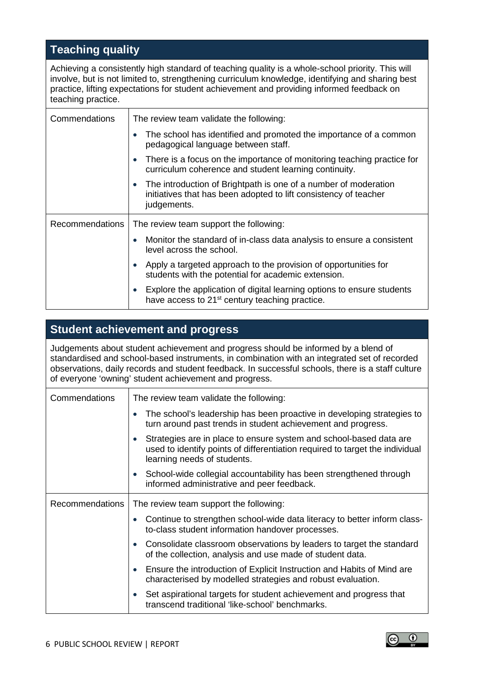# **Teaching quality**

Achieving a consistently high standard of teaching quality is a whole-school priority. This will involve, but is not limited to, strengthening curriculum knowledge, identifying and sharing best practice, lifting expectations for student achievement and providing informed feedback on teaching practice.

| Commendations          | The review team validate the following:                                                                                                                         |
|------------------------|-----------------------------------------------------------------------------------------------------------------------------------------------------------------|
|                        | The school has identified and promoted the importance of a common<br>pedagogical language between staff.                                                        |
|                        | There is a focus on the importance of monitoring teaching practice for<br>$\bullet$<br>curriculum coherence and student learning continuity.                    |
|                        | The introduction of Brightpath is one of a number of moderation<br>$\bullet$<br>initiatives that has been adopted to lift consistency of teacher<br>judgements. |
| <b>Recommendations</b> | The review team support the following:                                                                                                                          |
|                        | Monitor the standard of in-class data analysis to ensure a consistent<br>level across the school.                                                               |
|                        | Apply a targeted approach to the provision of opportunities for<br>students with the potential for academic extension.                                          |
|                        | Explore the application of digital learning options to ensure students<br>have access to 21 <sup>st</sup> century teaching practice.                            |

#### **Student achievement and progress**

Judgements about student achievement and progress should be informed by a blend of standardised and school-based instruments, in combination with an integrated set of recorded observations, daily records and student feedback. In successful schools, there is a staff culture of everyone 'owning' student achievement and progress.

| Commendations          | The review team validate the following:                                                                                                                                                        |
|------------------------|------------------------------------------------------------------------------------------------------------------------------------------------------------------------------------------------|
|                        | The school's leadership has been proactive in developing strategies to<br>$\bullet$<br>turn around past trends in student achievement and progress.                                            |
|                        | Strategies are in place to ensure system and school-based data are<br>$\bullet$<br>used to identify points of differentiation required to target the individual<br>learning needs of students. |
|                        | School-wide collegial accountability has been strengthened through<br>$\bullet$<br>informed administrative and peer feedback.                                                                  |
| <b>Recommendations</b> | The review team support the following:                                                                                                                                                         |
|                        | Continue to strengthen school-wide data literacy to better inform class-<br>to-class student information handover processes.                                                                   |
|                        | Consolidate classroom observations by leaders to target the standard<br>$\bullet$<br>of the collection, analysis and use made of student data.                                                 |
|                        | Ensure the introduction of Explicit Instruction and Habits of Mind are<br>$\bullet$<br>characterised by modelled strategies and robust evaluation.                                             |
|                        | Set aspirational targets for student achievement and progress that<br>$\bullet$<br>transcend traditional 'like-school' benchmarks.                                                             |